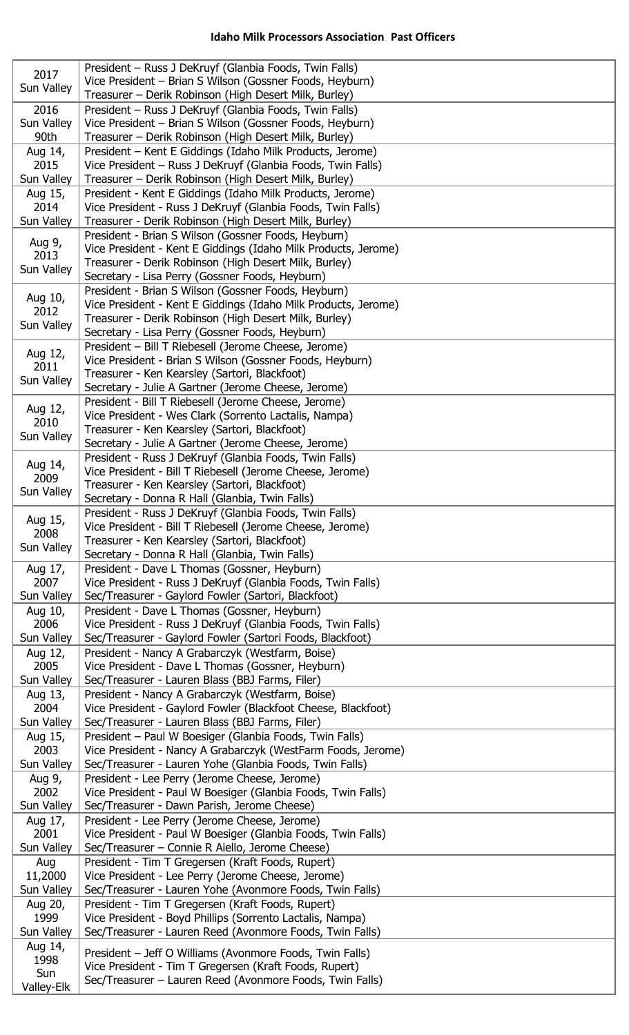| President - Russ J DeKruyf (Glanbia Foods, Twin Falls)<br>2017                                                                    |  |
|-----------------------------------------------------------------------------------------------------------------------------------|--|
| Vice President - Brian S Wilson (Gossner Foods, Heyburn)<br>Sun Valley                                                            |  |
| Treasurer – Derik Robinson (High Desert Milk, Burley)                                                                             |  |
| President - Russ J DeKruyf (Glanbia Foods, Twin Falls)<br>2016                                                                    |  |
| Vice President - Brian S Wilson (Gossner Foods, Heyburn)<br>Sun Valley<br>90th                                                    |  |
| Treasurer – Derik Robinson (High Desert Milk, Burley)<br>President - Kent E Giddings (Idaho Milk Products, Jerome)                |  |
| Aug 14,<br>2015<br>Vice President - Russ J DeKruyf (Glanbia Foods, Twin Falls)                                                    |  |
| Sun Valley<br>Treasurer – Derik Robinson (High Desert Milk, Burley)                                                               |  |
| President - Kent E Giddings (Idaho Milk Products, Jerome)<br>Aug 15,                                                              |  |
| 2014<br>Vice President - Russ J DeKruyf (Glanbia Foods, Twin Falls)                                                               |  |
| Treasurer - Derik Robinson (High Desert Milk, Burley)<br>Sun Valley                                                               |  |
| President - Brian S Wilson (Gossner Foods, Heyburn)<br>Aug 9,                                                                     |  |
| Vice President - Kent E Giddings (Idaho Milk Products, Jerome)<br>2013                                                            |  |
| Treasurer - Derik Robinson (High Desert Milk, Burley)<br>Sun Valley                                                               |  |
| Secretary - Lisa Perry (Gossner Foods, Heyburn)                                                                                   |  |
| President - Brian S Wilson (Gossner Foods, Heyburn)<br>Aug 10,<br>Vice President - Kent E Giddings (Idaho Milk Products, Jerome)  |  |
| 2012<br>Treasurer - Derik Robinson (High Desert Milk, Burley)                                                                     |  |
| Sun Valley<br>Secretary - Lisa Perry (Gossner Foods, Heyburn)                                                                     |  |
| President - Bill T Riebesell (Jerome Cheese, Jerome)                                                                              |  |
| Aug 12,<br>Vice President - Brian S Wilson (Gossner Foods, Heyburn)                                                               |  |
| 2011<br>Treasurer - Ken Kearsley (Sartori, Blackfoot)<br>Sun Valley                                                               |  |
| Secretary - Julie A Gartner (Jerome Cheese, Jerome)                                                                               |  |
| President - Bill T Riebesell (Jerome Cheese, Jerome)<br>Aug 12,                                                                   |  |
| Vice President - Wes Clark (Sorrento Lactalis, Nampa)<br>2010                                                                     |  |
| Treasurer - Ken Kearsley (Sartori, Blackfoot)<br>Sun Valley<br>Secretary - Julie A Gartner (Jerome Cheese, Jerome)                |  |
| President - Russ J DeKruyf (Glanbia Foods, Twin Falls)                                                                            |  |
| Aug 14,<br>Vice President - Bill T Riebesell (Jerome Cheese, Jerome)                                                              |  |
| 2009<br>Treasurer - Ken Kearsley (Sartori, Blackfoot)                                                                             |  |
| Sun Valley<br>Secretary - Donna R Hall (Glanbia, Twin Falls)                                                                      |  |
| President - Russ J DeKruyf (Glanbia Foods, Twin Falls)<br>Aug 15,                                                                 |  |
| Vice President - Bill T Riebesell (Jerome Cheese, Jerome)<br>2008                                                                 |  |
| Treasurer - Ken Kearsley (Sartori, Blackfoot)<br>Sun Valley                                                                       |  |
| Secretary - Donna R Hall (Glanbia, Twin Falls)<br>President - Dave L Thomas (Gossner, Heyburn)<br>Aug 17,                         |  |
| 2007<br>Vice President - Russ J DeKruyf (Glanbia Foods, Twin Falls)                                                               |  |
| Sun Valley<br>Sec/Treasurer - Gaylord Fowler (Sartori, Blackfoot)                                                                 |  |
| President - Dave L Thomas (Gossner, Heyburn)<br>Aug 10,                                                                           |  |
| 2006<br>Vice President - Russ J DeKruyf (Glanbia Foods, Twin Falls)                                                               |  |
| Sun Valley<br>Sec/Treasurer - Gaylord Fowler (Sartori Foods, Blackfoot)                                                           |  |
| President - Nancy A Grabarczyk (Westfarm, Boise)<br>Aug 12,                                                                       |  |
| 2005<br>Vice President - Dave L Thomas (Gossner, Heyburn)<br>Sun Valley<br>Sec/Treasurer - Lauren Blass (BBJ Farms, Filer)        |  |
| President - Nancy A Grabarczyk (Westfarm, Boise)<br>Aug 13,                                                                       |  |
| 2004<br>Vice President - Gaylord Fowler (Blackfoot Cheese, Blackfoot)                                                             |  |
| Sun Valley<br>Sec/Treasurer - Lauren Blass (BBJ Farms, Filer)                                                                     |  |
|                                                                                                                                   |  |
| President - Paul W Boesiger (Glanbia Foods, Twin Falls)<br>Aug 15,                                                                |  |
| 2003<br>Vice President - Nancy A Grabarczyk (WestFarm Foods, Jerome)                                                              |  |
| Sun Valley<br>Sec/Treasurer - Lauren Yohe (Glanbia Foods, Twin Falls)                                                             |  |
| President - Lee Perry (Jerome Cheese, Jerome)<br>Aug 9,                                                                           |  |
| 2002<br>Vice President - Paul W Boesiger (Glanbia Foods, Twin Falls)                                                              |  |
| Sun Valley<br>Sec/Treasurer - Dawn Parish, Jerome Cheese)                                                                         |  |
| President - Lee Perry (Jerome Cheese, Jerome)<br>Aug 17,                                                                          |  |
| 2001<br>Vice President - Paul W Boesiger (Glanbia Foods, Twin Falls)                                                              |  |
| Sec/Treasurer - Connie R Aiello, Jerome Cheese)<br>Sun Valley<br>President - Tim T Gregersen (Kraft Foods, Rupert)<br>Aug         |  |
| 11,2000<br>Vice President - Lee Perry (Jerome Cheese, Jerome)                                                                     |  |
| Sec/Treasurer - Lauren Yohe (Avonmore Foods, Twin Falls)<br>Sun Valley                                                            |  |
| President - Tim T Gregersen (Kraft Foods, Rupert)<br>Aug 20,                                                                      |  |
| Vice President - Boyd Phillips (Sorrento Lactalis, Nampa)<br>1999                                                                 |  |
| Sun Valley<br>Sec/Treasurer - Lauren Reed (Avonmore Foods, Twin Falls)                                                            |  |
| Aug 14,<br>President - Jeff O Williams (Avonmore Foods, Twin Falls)                                                               |  |
| 1998<br>Vice President - Tim T Gregersen (Kraft Foods, Rupert)<br>Sun<br>Sec/Treasurer - Lauren Reed (Avonmore Foods, Twin Falls) |  |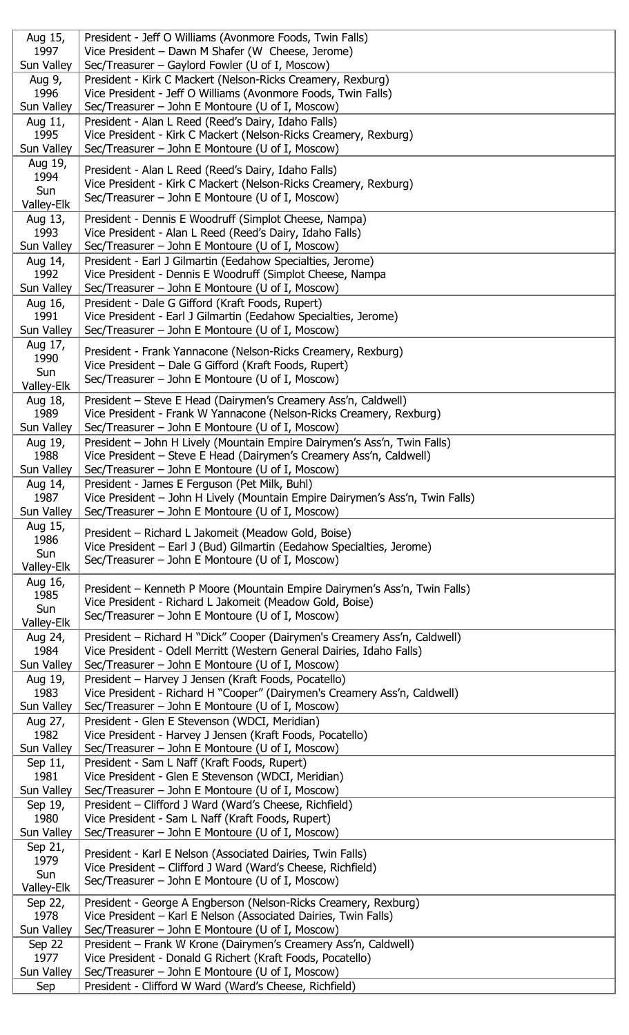| Aug 15,           | President - Jeff O Williams (Avonmore Foods, Twin Falls)                                                                           |
|-------------------|------------------------------------------------------------------------------------------------------------------------------------|
| 1997              | Vice President - Dawn M Shafer (W Cheese, Jerome)                                                                                  |
| Sun Valley        | Sec/Treasurer - Gaylord Fowler (U of I, Moscow)                                                                                    |
| Aug 9,            | President - Kirk C Mackert (Nelson-Ricks Creamery, Rexburg)                                                                        |
| 1996              | Vice President - Jeff O Williams (Avonmore Foods, Twin Falls)                                                                      |
| Sun Valley        | Sec/Treasurer - John E Montoure (U of I, Moscow)                                                                                   |
| Aug 11,           | President - Alan L Reed (Reed's Dairy, Idaho Falls)                                                                                |
| 1995              | Vice President - Kirk C Mackert (Nelson-Ricks Creamery, Rexburg)                                                                   |
| Sun Valley        | Sec/Treasurer - John E Montoure (U of I, Moscow)                                                                                   |
| Aug 19,           |                                                                                                                                    |
| 1994              | President - Alan L Reed (Reed's Dairy, Idaho Falls)                                                                                |
| Sun               | Vice President - Kirk C Mackert (Nelson-Ricks Creamery, Rexburg)                                                                   |
| Valley-Elk        | Sec/Treasurer - John E Montoure (U of I, Moscow)                                                                                   |
| Aug 13,           | President - Dennis E Woodruff (Simplot Cheese, Nampa)                                                                              |
| 1993              | Vice President - Alan L Reed (Reed's Dairy, Idaho Falls)                                                                           |
| Sun Valley        | Sec/Treasurer - John E Montoure (U of I, Moscow)                                                                                   |
| Aug 14,           | President - Earl J Gilmartin (Eedahow Specialties, Jerome)                                                                         |
| 1992              | Vice President - Dennis E Woodruff (Simplot Cheese, Nampa                                                                          |
| Sun Valley        | Sec/Treasurer – John E Montoure (U of I, Moscow)                                                                                   |
| Aug 16,           | President - Dale G Gifford (Kraft Foods, Rupert)                                                                                   |
| 1991              | Vice President - Earl J Gilmartin (Eedahow Specialties, Jerome)                                                                    |
| Sun Valley        | Sec/Treasurer - John E Montoure (U of I, Moscow)                                                                                   |
| Aug 17,           | President - Frank Yannacone (Nelson-Ricks Creamery, Rexburg)                                                                       |
| 1990              | Vice President - Dale G Gifford (Kraft Foods, Rupert)                                                                              |
| Sun               | Sec/Treasurer - John E Montoure (U of I, Moscow)                                                                                   |
| Valley-Elk        |                                                                                                                                    |
| Aug 18,           | President - Steve E Head (Dairymen's Creamery Ass'n, Caldwell)                                                                     |
| 1989              | Vice President - Frank W Yannacone (Nelson-Ricks Creamery, Rexburg)                                                                |
| Sun Valley        | Sec/Treasurer – John E Montoure (U of I, Moscow)                                                                                   |
| Aug 19,           | President - John H Lively (Mountain Empire Dairymen's Ass'n, Twin Falls)                                                           |
| 1988              | Vice President – Steve E Head (Dairymen's Creamery Ass'n, Caldwell)                                                                |
| Sun Valley        | Sec/Treasurer – John E Montoure (U of I, Moscow)                                                                                   |
| Aug 14,           | President - James E Ferguson (Pet Milk, Buhl)                                                                                      |
| 1987              | Vice President - John H Lively (Mountain Empire Dairymen's Ass'n, Twin Falls)                                                      |
| Sun Valley        | Sec/Treasurer – John E Montoure (U of I, Moscow)                                                                                   |
| Aug 15,           | President - Richard L Jakomeit (Meadow Gold, Boise)                                                                                |
| 1986              | Vice President - Earl J (Bud) Gilmartin (Eedahow Specialties, Jerome)                                                              |
| Sun<br>Valley-Elk | Sec/Treasurer – John E Montoure (U of I, Moscow)                                                                                   |
| Aug 16,           |                                                                                                                                    |
| 1985              | President - Kenneth P Moore (Mountain Empire Dairymen's Ass'n, Twin Falls)                                                         |
| Sun               | Vice President - Richard L Jakomeit (Meadow Gold, Boise)                                                                           |
| Valley-Elk        | Sec/Treasurer - John E Montoure (U of I, Moscow)                                                                                   |
| Aug 24,           | President - Richard H "Dick" Cooper (Dairymen's Creamery Ass'n, Caldwell)                                                          |
| 1984              | Vice President - Odell Merritt (Western General Dairies, Idaho Falls)                                                              |
| Sun Valley        | Sec/Treasurer - John E Montoure (U of I, Moscow)                                                                                   |
| Aug 19,           | President - Harvey J Jensen (Kraft Foods, Pocatello)                                                                               |
| 1983              | Vice President - Richard H "Cooper" (Dairymen's Creamery Ass'n, Caldwell)                                                          |
| Sun Valley        | Sec/Treasurer – John E Montoure (U of I, Moscow)                                                                                   |
| Aug 27,           | President - Glen E Stevenson (WDCI, Meridian)                                                                                      |
| 1982              | Vice President - Harvey J Jensen (Kraft Foods, Pocatello)                                                                          |
| Sun Valley        | Sec/Treasurer – John E Montoure (U of I, Moscow)                                                                                   |
| Sep 11,           | President - Sam L Naff (Kraft Foods, Rupert)                                                                                       |
| 1981              | Vice President - Glen E Stevenson (WDCI, Meridian)                                                                                 |
| Sun Valley        | Sec/Treasurer - John E Montoure (U of I, Moscow)                                                                                   |
| Sep 19,           | President - Clifford J Ward (Ward's Cheese, Richfield)                                                                             |
| 1980              | Vice President - Sam L Naff (Kraft Foods, Rupert)                                                                                  |
| Sun Valley        | Sec/Treasurer – John E Montoure (U of I, Moscow)                                                                                   |
| Sep 21,           | President - Karl E Nelson (Associated Dairies, Twin Falls)                                                                         |
| 1979              | Vice President - Clifford J Ward (Ward's Cheese, Richfield)                                                                        |
| Sun               | Sec/Treasurer – John E Montoure (U of I, Moscow)                                                                                   |
| Valley-Elk        |                                                                                                                                    |
| Sep 22,<br>1978   | President - George A Engberson (Nelson-Ricks Creamery, Rexburg)<br>Vice President – Karl E Nelson (Associated Dairies, Twin Falls) |
| Sun Valley        | Sec/Treasurer - John E Montoure (U of I, Moscow)                                                                                   |
| Sep 22            | President - Frank W Krone (Dairymen's Creamery Ass'n, Caldwell)                                                                    |
| 1977              | Vice President - Donald G Richert (Kraft Foods, Pocatello)                                                                         |
| Sun Valley        | Sec/Treasurer - John E Montoure (U of I, Moscow)                                                                                   |
| Sep               | President - Clifford W Ward (Ward's Cheese, Richfield)                                                                             |
|                   |                                                                                                                                    |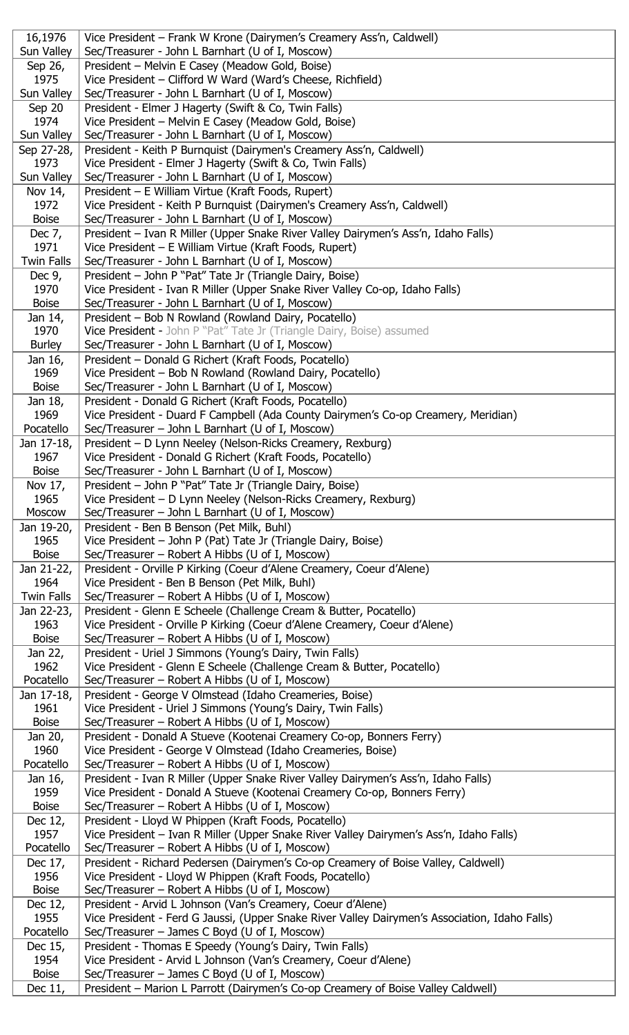| 16,1976                   | Vice President - Frank W Krone (Dairymen's Creamery Ass'n, Caldwell)                                                                            |
|---------------------------|-------------------------------------------------------------------------------------------------------------------------------------------------|
| Sun Valley                | Sec/Treasurer - John L Barnhart (U of I, Moscow)                                                                                                |
| Sep 26,<br>1975           | President - Melvin E Casey (Meadow Gold, Boise)<br>Vice President - Clifford W Ward (Ward's Cheese, Richfield)                                  |
| Sun Valley                | Sec/Treasurer - John L Barnhart (U of I, Moscow)                                                                                                |
| Sep 20                    | President - Elmer J Hagerty (Swift & Co, Twin Falls)                                                                                            |
| 1974                      | Vice President - Melvin E Casey (Meadow Gold, Boise)                                                                                            |
| Sun Valley                | Sec/Treasurer - John L Barnhart (U of I, Moscow)                                                                                                |
| Sep 27-28,<br>1973        | President - Keith P Burnquist (Dairymen's Creamery Ass'n, Caldwell)<br>Vice President - Elmer J Hagerty (Swift & Co, Twin Falls)                |
| Sun Valley                | Sec/Treasurer - John L Barnhart (U of I, Moscow)                                                                                                |
| Nov 14,                   | President - E William Virtue (Kraft Foods, Rupert)                                                                                              |
| 1972<br><b>Boise</b>      | Vice President - Keith P Burnquist (Dairymen's Creamery Ass'n, Caldwell)                                                                        |
| Dec $7,$                  | Sec/Treasurer - John L Barnhart (U of I, Moscow)<br>President - Ivan R Miller (Upper Snake River Valley Dairymen's Ass'n, Idaho Falls)          |
| 1971                      | Vice President - E William Virtue (Kraft Foods, Rupert)                                                                                         |
| <b>Twin Falls</b>         | Sec/Treasurer - John L Barnhart (U of I, Moscow)                                                                                                |
| Dec $9r$                  | President - John P "Pat" Tate Jr (Triangle Dairy, Boise)                                                                                        |
| 1970<br><b>Boise</b>      | Vice President - Ivan R Miller (Upper Snake River Valley Co-op, Idaho Falls)<br>Sec/Treasurer - John L Barnhart (U of I, Moscow)                |
| Jan 14,                   | President - Bob N Rowland (Rowland Dairy, Pocatello)                                                                                            |
| 1970                      | Vice President - John P "Pat" Tate Jr (Triangle Dairy, Boise) assumed                                                                           |
| <b>Burley</b>             | Sec/Treasurer - John L Barnhart (U of I, Moscow)                                                                                                |
| Jan 16,<br>1969           | President - Donald G Richert (Kraft Foods, Pocatello)<br>Vice President - Bob N Rowland (Rowland Dairy, Pocatello)                              |
| <b>Boise</b>              | Sec/Treasurer - John L Barnhart (U of I, Moscow)                                                                                                |
| Jan 18,                   | President - Donald G Richert (Kraft Foods, Pocatello)                                                                                           |
| 1969                      | Vice President - Duard F Campbell (Ada County Dairymen's Co-op Creamery, Meridian)                                                              |
| Pocatello                 | Sec/Treasurer - John L Barnhart (U of I, Moscow)                                                                                                |
| Jan 17-18,<br>1967        | President - D Lynn Neeley (Nelson-Ricks Creamery, Rexburg)<br>Vice President - Donald G Richert (Kraft Foods, Pocatello)                        |
| <b>Boise</b>              | Sec/Treasurer - John L Barnhart (U of I, Moscow)                                                                                                |
| Nov 17,                   | President - John P "Pat" Tate Jr (Triangle Dairy, Boise)                                                                                        |
| 1965                      | Vice President - D Lynn Neeley (Nelson-Ricks Creamery, Rexburg)                                                                                 |
| Moscow<br>Jan 19-20,      | Sec/Treasurer - John L Barnhart (U of I, Moscow)<br>President - Ben B Benson (Pet Milk, Buhl)                                                   |
| 1965                      | Vice President - John P (Pat) Tate Jr (Triangle Dairy, Boise)                                                                                   |
| <b>Boise</b>              | Sec/Treasurer - Robert A Hibbs (U of I, Moscow)                                                                                                 |
| Jan 21-22,                | President - Orville P Kirking (Coeur d'Alene Creamery, Coeur d'Alene)                                                                           |
| 1964<br><b>Twin Falls</b> | Vice President - Ben B Benson (Pet Milk, Buhl)<br>Sec/Treasurer – Robert A Hibbs (U of I, Moscow)                                               |
| Jan 22-23,                | President - Glenn E Scheele (Challenge Cream & Butter, Pocatello)                                                                               |
| 1963                      | Vice President - Orville P Kirking (Coeur d'Alene Creamery, Coeur d'Alene)                                                                      |
| <b>Boise</b>              | Sec/Treasurer – Robert A Hibbs (U of I, Moscow)                                                                                                 |
| Jan 22,<br>1962           | President - Uriel J Simmons (Young's Dairy, Twin Falls)<br>Vice President - Glenn E Scheele (Challenge Cream & Butter, Pocatello)               |
| Pocatello                 | Sec/Treasurer – Robert A Hibbs (U of I, Moscow)                                                                                                 |
| Jan 17-18,                | President - George V Olmstead (Idaho Creameries, Boise)                                                                                         |
| 1961                      | Vice President - Uriel J Simmons (Young's Dairy, Twin Falls)                                                                                    |
| <b>Boise</b><br>Jan 20,   | Sec/Treasurer - Robert A Hibbs (U of I, Moscow)<br>President - Donald A Stueve (Kootenai Creamery Co-op, Bonners Ferry)                         |
| 1960                      | Vice President - George V Olmstead (Idaho Creameries, Boise)                                                                                    |
| Pocatello                 | Sec/Treasurer – Robert A Hibbs (U of I, Moscow)                                                                                                 |
| Jan 16,                   | President - Ivan R Miller (Upper Snake River Valley Dairymen's Ass'n, Idaho Falls)                                                              |
| 1959<br><b>Boise</b>      | Vice President - Donald A Stueve (Kootenai Creamery Co-op, Bonners Ferry)<br>Sec/Treasurer – Robert A Hibbs (U of I, Moscow)                    |
| Dec 12,                   | President - Lloyd W Phippen (Kraft Foods, Pocatello)                                                                                            |
| 1957                      | Vice President - Ivan R Miller (Upper Snake River Valley Dairymen's Ass'n, Idaho Falls)                                                         |
| Pocatello                 | Sec/Treasurer – Robert A Hibbs (U of I, Moscow)                                                                                                 |
| Dec 17,<br>1956           | President - Richard Pedersen (Dairymen's Co-op Creamery of Boise Valley, Caldwell)<br>Vice President - Lloyd W Phippen (Kraft Foods, Pocatello) |
| <b>Boise</b>              | Sec/Treasurer – Robert A Hibbs (U of I, Moscow)                                                                                                 |
| Dec 12,                   | President - Arvid L Johnson (Van's Creamery, Coeur d'Alene)                                                                                     |
| 1955                      | Vice President - Ferd G Jaussi, (Upper Snake River Valley Dairymen's Association, Idaho Falls)                                                  |
| Pocatello                 | Sec/Treasurer - James C Boyd (U of I, Moscow)                                                                                                   |
| Dec 15,<br>1954           | President - Thomas E Speedy (Young's Dairy, Twin Falls)<br>Vice President - Arvid L Johnson (Van's Creamery, Coeur d'Alene)                     |
| <b>Boise</b>              | Sec/Treasurer - James C Boyd (U of I, Moscow)                                                                                                   |
| Dec 11,                   | President - Marion L Parrott (Dairymen's Co-op Creamery of Boise Valley Caldwell)                                                               |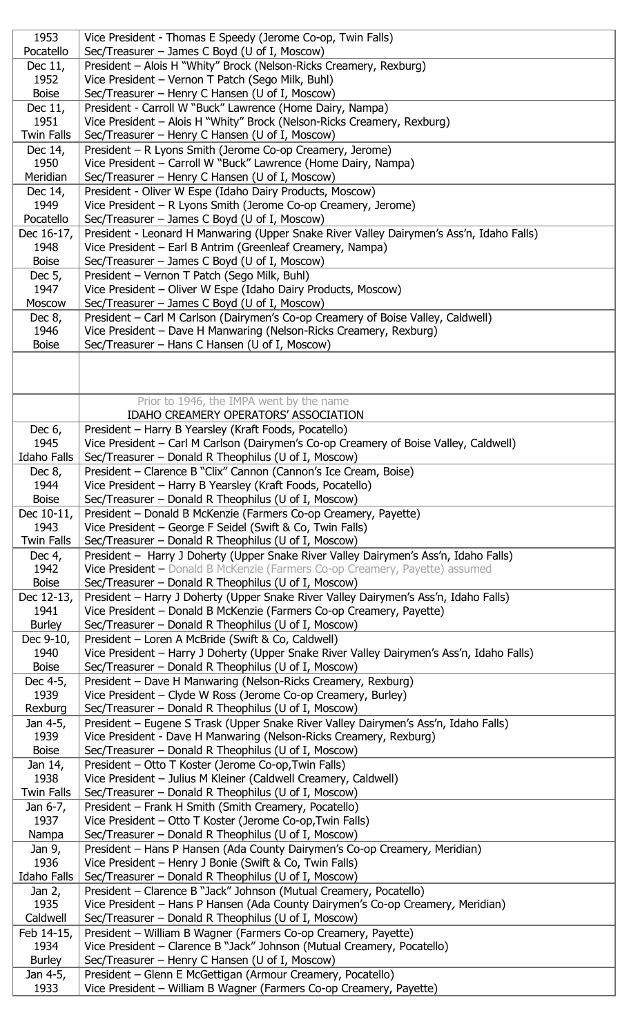| 1953               | Vice President - Thomas E Speedy (Jerome Co-op, Twin Falls)                                                                        |
|--------------------|------------------------------------------------------------------------------------------------------------------------------------|
| Pocatello          | Sec/Treasurer - James C Boyd (U of I, Moscow)                                                                                      |
|                    |                                                                                                                                    |
| Dec 11,            | President - Alois H "Whity" Brock (Nelson-Ricks Creamery, Rexburg)                                                                 |
| 1952               | Vice President - Vernon T Patch (Sego Milk, Buhl)                                                                                  |
| <b>Boise</b>       | Sec/Treasurer - Henry C Hansen (U of I, Moscow)                                                                                    |
| Dec 11,            | President - Carroll W "Buck" Lawrence (Home Dairy, Nampa)                                                                          |
| 1951               | Vice President – Alois H "Whity" Brock (Nelson-Ricks Creamery, Rexburg)                                                            |
| <b>Twin Falls</b>  | Sec/Treasurer - Henry C Hansen (U of I, Moscow)                                                                                    |
| Dec 14,            | President - R Lyons Smith (Jerome Co-op Creamery, Jerome)                                                                          |
| 1950               | Vice President - Carroll W "Buck" Lawrence (Home Dairy, Nampa)                                                                     |
|                    |                                                                                                                                    |
| Meridian           | Sec/Treasurer - Henry C Hansen (U of I, Moscow)                                                                                    |
| Dec 14,            | President - Oliver W Espe (Idaho Dairy Products, Moscow)                                                                           |
| 1949               | Vice President - R Lyons Smith (Jerome Co-op Creamery, Jerome)                                                                     |
| Pocatello          | Sec/Treasurer - James C Boyd (U of I, Moscow)                                                                                      |
| Dec 16-17,         | President - Leonard H Manwaring (Upper Snake River Valley Dairymen's Ass'n, Idaho Falls)                                           |
| 1948               | Vice President - Earl B Antrim (Greenleaf Creamery, Nampa)                                                                         |
| <b>Boise</b>       | Sec/Treasurer - James C Boyd (U of I, Moscow)                                                                                      |
| Dec 5,             | President - Vernon T Patch (Sego Milk, Buhl)                                                                                       |
| 1947               | Vice President - Oliver W Espe (Idaho Dairy Products, Moscow)                                                                      |
|                    |                                                                                                                                    |
| Moscow             | Sec/Treasurer - James C Boyd (U of I, Moscow)                                                                                      |
| Dec $8,$           | President – Carl M Carlson (Dairymen's Co-op Creamery of Boise Valley, Caldwell)                                                   |
| 1946               | Vice President – Dave H Manwaring (Nelson-Ricks Creamery, Rexburg)                                                                 |
| <b>Boise</b>       | Sec/Treasurer - Hans C Hansen (U of I, Moscow)                                                                                     |
|                    |                                                                                                                                    |
|                    |                                                                                                                                    |
|                    |                                                                                                                                    |
|                    | Prior to 1946, the IMPA went by the name                                                                                           |
|                    | IDAHO CREAMERY OPERATORS' ASSOCIATION                                                                                              |
|                    |                                                                                                                                    |
| Dec $6,$           | President – Harry B Yearsley (Kraft Foods, Pocatello)                                                                              |
| 1945               | Vice President – Carl M Carlson (Dairymen's Co-op Creamery of Boise Valley, Caldwell)                                              |
| <b>Idaho Falls</b> | Sec/Treasurer - Donald R Theophilus (U of I, Moscow)                                                                               |
| Dec $8,$           | President - Clarence B "Clix" Cannon (Cannon's Ice Cream, Boise)                                                                   |
| 1944               | Vice President - Harry B Yearsley (Kraft Foods, Pocatello)                                                                         |
| <b>Boise</b>       | Sec/Treasurer – Donald R Theophilus (U of I, Moscow)                                                                               |
| Dec 10-11,         | President - Donald B McKenzie (Farmers Co-op Creamery, Payette)                                                                    |
| 1943               | Vice President - George F Seidel (Swift & Co, Twin Falls)                                                                          |
|                    |                                                                                                                                    |
| Twin Falls         | Sec/Treasurer – Donald R Theophilus (U of I, Moscow)                                                                               |
| Dec $4,$           | President - Harry J Doherty (Upper Snake River Valley Dairymen's Ass'n, Idaho Falls)                                               |
| 1942               | Vice President - Donald B McKenzie (Farmers Co-op Creamery, Payette) assumed                                                       |
| <b>Boise</b>       | Sec/Treasurer – Donald R Theophilus (U of I, Moscow)                                                                               |
| Dec 12-13,         | President - Harry J Doherty (Upper Snake River Valley Dairymen's Ass'n, Idaho Falls)                                               |
| 1941               | Vice President - Donald B McKenzie (Farmers Co-op Creamery, Payette)                                                               |
| <b>Burley</b>      | Sec/Treasurer – Donald R Theophilus (U of I, Moscow)                                                                               |
| Dec 9-10,          | President - Loren A McBride (Swift & Co, Caldwell)                                                                                 |
| 1940               | Vice President - Harry J Doherty (Upper Snake River Valley Dairymen's Ass'n, Idaho Falls)                                          |
|                    |                                                                                                                                    |
| <b>Boise</b>       | Sec/Treasurer – Donald R Theophilus (U of I, Moscow)                                                                               |
| Dec 4-5,           | President – Dave H Manwaring (Nelson-Ricks Creamery, Rexburg)                                                                      |
| 1939               |                                                                                                                                    |
|                    | Vice President – Clyde W Ross (Jerome Co-op Creamery, Burley)                                                                      |
| Rexburg            | Sec/Treasurer - Donald R Theophilus (U of I, Moscow)                                                                               |
| Jan 4-5,           | President – Eugene S Trask (Upper Snake River Valley Dairymen's Ass'n, Idaho Falls)                                                |
| 1939               | Vice President - Dave H Manwaring (Nelson-Ricks Creamery, Rexburg)                                                                 |
| <b>Boise</b>       |                                                                                                                                    |
|                    | Sec/Treasurer – Donald R Theophilus (U of I, Moscow)                                                                               |
| Jan 14,            | President - Otto T Koster (Jerome Co-op, Twin Falls)                                                                               |
| 1938               | Vice President - Julius M Kleiner (Caldwell Creamery, Caldwell)                                                                    |
| <b>Twin Falls</b>  | Sec/Treasurer – Donald R Theophilus (U of I, Moscow)                                                                               |
| Jan 6-7,           | President - Frank H Smith (Smith Creamery, Pocatello)                                                                              |
| 1937               | Vice President - Otto T Koster (Jerome Co-op, Twin Falls)                                                                          |
| Nampa              | Sec/Treasurer – Donald R Theophilus (U of I, Moscow)                                                                               |
| Jan 9,             | President - Hans P Hansen (Ada County Dairymen's Co-op Creamery, Meridian)                                                         |
| 1936               | Vice President - Henry J Bonie (Swift & Co, Twin Falls)                                                                            |
| <b>Idaho Falls</b> | Sec/Treasurer - Donald R Theophilus (U of I, Moscow)                                                                               |
| Jan $2,$           | President - Clarence B "Jack" Johnson (Mutual Creamery, Pocatello)                                                                 |
|                    |                                                                                                                                    |
| 1935               | Vice President - Hans P Hansen (Ada County Dairymen's Co-op Creamery, Meridian)                                                    |
| Caldwell           | Sec/Treasurer - Donald R Theophilus (U of I, Moscow)                                                                               |
| Feb 14-15,         | President - William B Wagner (Farmers Co-op Creamery, Payette)                                                                     |
| 1934               | Vice President - Clarence B "Jack" Johnson (Mutual Creamery, Pocatello)                                                            |
| <b>Burley</b>      | Sec/Treasurer – Henry C Hansen (U of I, Moscow)                                                                                    |
| Jan 4-5,<br>1933   | President - Glenn E McGettigan (Armour Creamery, Pocatello)<br>Vice President - William B Wagner (Farmers Co-op Creamery, Payette) |